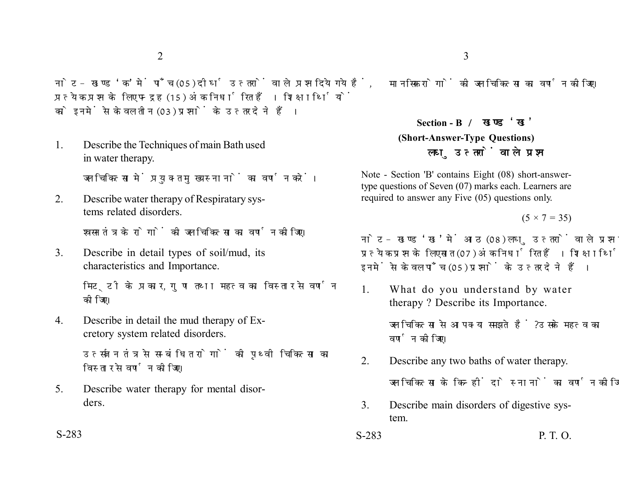नोट- खण्ड 'क' में पाँच (05) दीर्घ उत्तरों वाले प्रश्न दिये गये हैं. प्रत्येक प्रश्न के लिए पन्द्रह (15) अंक निर्धारित हैं। शिक्षार्थियों को इनमें से केवल तीन (03) प्रश्नों के उत्तर देने हैं।

1. Describe the Techniques of main Bath used in water therapy.

जल चिकित्सा में प्रयुक्त मुख्य स्नानों का वर्णन करें।

2. Describe water therapy of Respiratary systems related disorders.

श्वसन तंत्र के रोगों की जल चिकित्सा का वर्णन कीजिए।

3. Describe in detail types of soil/mud, its characteristics and Importance.

> मिट्टी के प्रकार, गुण तथा महत्व का विस्तार से वर्णन कोजिए।

4. Describe in detail the mud therapy of Excretory system related disorders.

> उत्सर्जन तंत्र से सम्बंधित रोगों की पृथ्वी चिकित्सा का विस्तार से वर्णन कोजिए।

5. Describe water therapy for mental disorders.

मानसिक रोगों की जल चिकित्सा का वर्णन कीजिए।

**Section - B (Short-Answer-Type Questions)** लघ उत्तरों वाले प्रश्न

Note - Section 'B' contains Eight (08) short-answertype questions of Seven (07) marks each. Learners are required to answer any Five (05) questions only.

 $(5 \times 7 = 35)$ 

नोट- खण्ड 'ख' में आठ (08) लघु उत्तरों वाले प्रश्न दिये गये हैं, प्रत्येक प्रश्न के लिए सात (07) अंक निर्धारित हैं। शिक्षार्थियों को इनमें से केवल पाँच (05) प्रश्नों के उत्तर देने हैं।

1. What do you understand by water therapy ? Describe its Importance.

> जल चिकित्सा से आप क्या समझते हैं ? उसके महत्व का वर्णन कीजिए।

- 2. Describe any two baths of water therapy. जल चिकित्सा के किन्हीं दो स्नानों का वर्णन कीजिए।
- 3. Describe main disorders of digestive system.
- S-283 S-283 P. T. O.